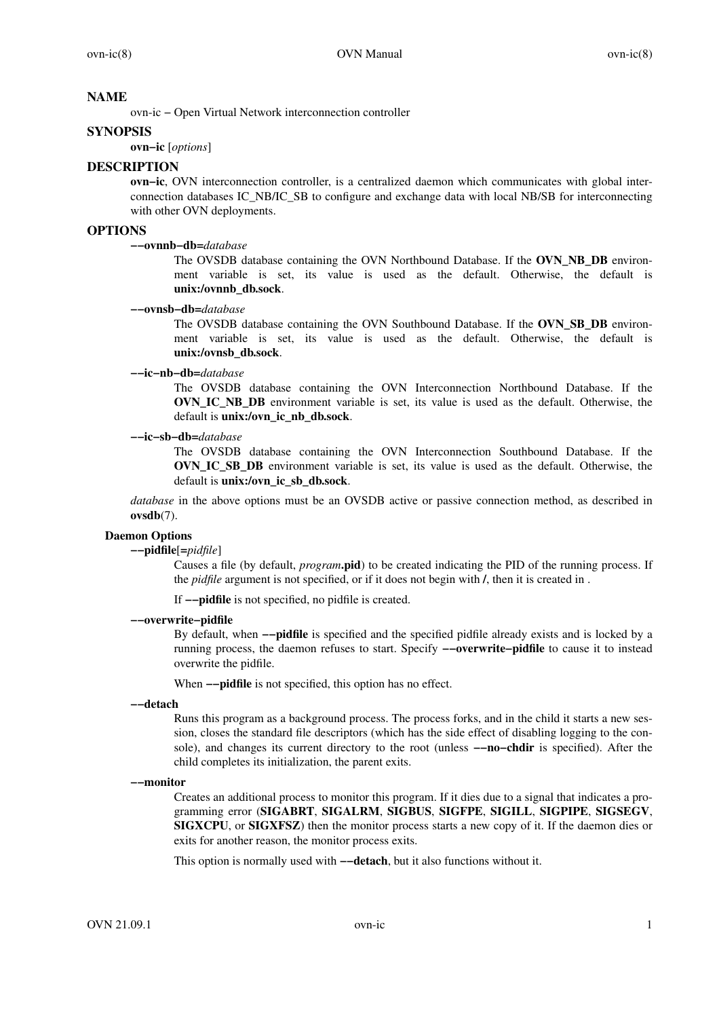### **NAME**

ovn-ic − Open Virtual Network interconnection controller

#### **SYNOPSIS**

**ovn−ic** [*options*]

# **DESCRIPTION**

**ovn−ic**, OVN interconnection controller, is a centralized daemon which communicates with global interconnection databases IC\_NB/IC\_SB to configure and exchange data with local NB/SB for interconnecting with other OVN deployments.

### **OPTIONS**

**−−ovnnb−db=***database*

The OVSDB database containing the OVN Northbound Database. If the **OVN\_NB\_DB** environment variable is set, its value is used as the default. Otherwise, the default is **unix:/ovnnb\_db.sock**.

**−−ovnsb−db=***database*

The OVSDB database containing the OVN Southbound Database. If the **OVN\_SB\_DB** environment variable is set, its value is used as the default. Otherwise, the default is **unix:/ovnsb\_db.sock**.

#### **−−ic−nb−db=***database*

The OVSDB database containing the OVN Interconnection Northbound Database. If the **OVN\_IC\_NB\_DB** environment variable is set, its value is used as the default. Otherwise, the default is **unix:/ovn\_ic\_nb\_db.sock**.

#### **−−ic−sb−db=***database*

The OVSDB database containing the OVN Interconnection Southbound Database. If the **OVN\_IC\_SB\_DB** environment variable is set, its value is used as the default. Otherwise, the default is **unix:/ovn\_ic\_sb\_db.sock**.

*database* in the above options must be an OVSDB active or passive connection method, as described in **ovsdb**(7).

#### **Daemon Options**

**−−pidfile**[**=***pidfile*]

Causes a file (by default, *program***.pid**) to be created indicating the PID of the running process. If the *pidfile* argument is not specified, or if it does not begin with **/**, then it is created in .

If **−−pidfile** is not specified, no pidfile is created.

#### **−−overwrite−pidfile**

By default, when **−−pidfile** is specified and the specified pidfile already exists and is locked by a running process, the daemon refuses to start. Specify **−−overwrite−pidfile** to cause it to instead overwrite the pidfile.

When **−−pidfile** is not specified, this option has no effect.

#### **−−detach**

Runs this program as a background process. The process forks, and in the child it starts a new session, closes the standard file descriptors (which has the side effect of disabling logging to the console), and changes its current directory to the root (unless **−−no−chdir** is specified). After the child completes its initialization, the parent exits.

#### **−−monitor**

Creates an additional process to monitor this program. If it dies due to a signal that indicates a programming error (**SIGABRT**, **SIGALRM**, **SIGBUS**, **SIGFPE**, **SIGILL**, **SIGPIPE**, **SIGSEGV**, **SIGXCPU**, or **SIGXFSZ**) then the monitor process starts a new copy of it. If the daemon dies or exits for another reason, the monitor process exits.

This option is normally used with **−−detach**, but it also functions without it.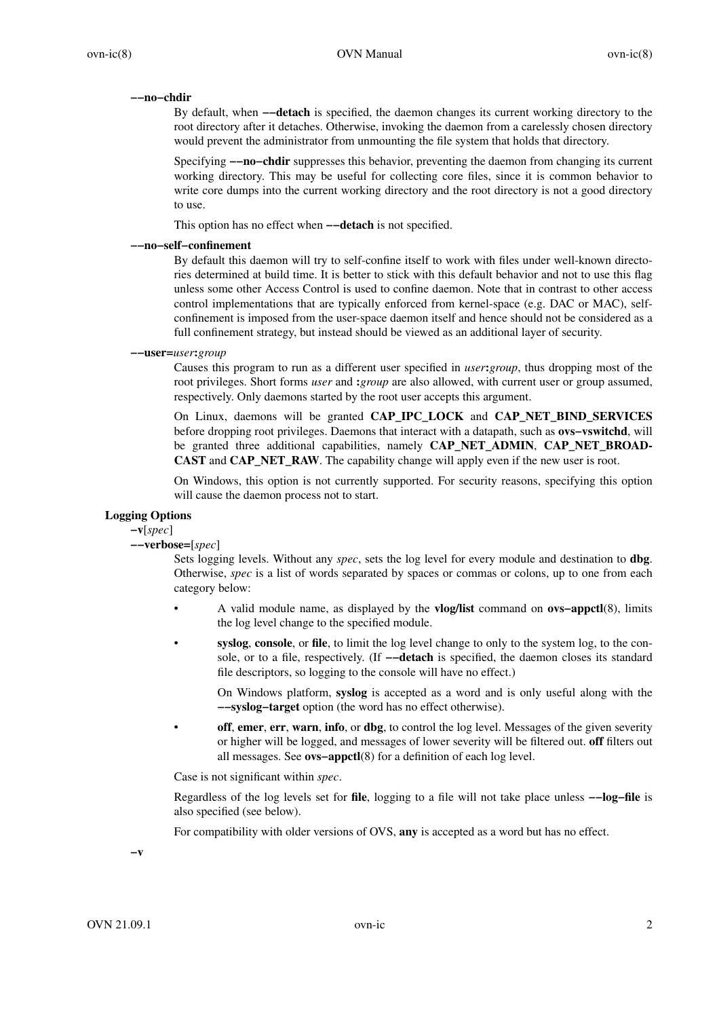#### **−−no−chdir**

By default, when **−−detach** is specified, the daemon changes its current working directory to the root directory after it detaches. Otherwise, invoking the daemon from a carelessly chosen directory would prevent the administrator from unmounting the file system that holds that directory.

Specifying **−−no−chdir** suppresses this behavior, preventing the daemon from changing its current working directory. This may be useful for collecting core files, since it is common behavior to write core dumps into the current working directory and the root directory is not a good directory to use.

This option has no effect when **−−detach** is not specified.

#### **−−no−self−confinement**

By default this daemon will try to self-confine itself to work with files under well-known directories determined at build time. It is better to stick with this default behavior and not to use this flag unless some other Access Control is used to confine daemon. Note that in contrast to other access control implementations that are typically enforced from kernel-space (e.g. DAC or MAC), selfconfinement is imposed from the user-space daemon itself and hence should not be considered as a full confinement strategy, but instead should be viewed as an additional layer of security.

**−−user=***user***:***group*

Causes this program to run as a different user specified in *user***:***group*, thus dropping most of the root privileges. Short forms *user* and **:***group* are also allowed, with current user or group assumed, respectively. Only daemons started by the root user accepts this argument.

On Linux, daemons will be granted **CAP\_IPC\_LOCK** and **CAP\_NET\_BIND\_SERVICES** before dropping root privileges. Daemons that interact with a datapath, such as **ovs−vswitchd**, will be granted three additional capabilities, namely **CAP\_NET\_ADMIN**, **CAP\_NET\_BROAD-CAST** and **CAP\_NET\_RAW**. The capability change will apply even if the new user is root.

On Windows, this option is not currently supported. For security reasons, specifying this option will cause the daemon process not to start.

# **Logging Options**

# **−v**[*spec*]

**−−verbose=**[*spec*]

Sets logging levels. Without any *spec*, sets the log level for every module and destination to **dbg**. Otherwise, *spec* is a list of words separated by spaces or commas or colons, up to one from each category below:

- A valid module name, as displayed by the **vlog/list** command on **ovs−appctl**(8), limits the log level change to the specified module.
- **syslog**, **console**, or **file**, to limit the log level change to only to the system log, to the console, or to a file, respectively. (If **−−detach** is specified, the daemon closes its standard file descriptors, so logging to the console will have no effect.)

On Windows platform, **syslog** is accepted as a word and is only useful along with the **−−syslog−target** option (the word has no effect otherwise).

**off**, **emer**, **err**, **warn**, **info**, or **dbg**, to control the log level. Messages of the given severity or higher will be logged, and messages of lower severity will be filtered out. **off** filters out all messages. See **ovs−appctl**(8) for a definition of each log level.

Case is not significant within *spec*.

Regardless of the log levels set for **file**, logging to a file will not take place unless **−−log−file** is also specified (see below).

For compatibility with older versions of OVS, **any** is accepted as a word but has no effect.

**−v**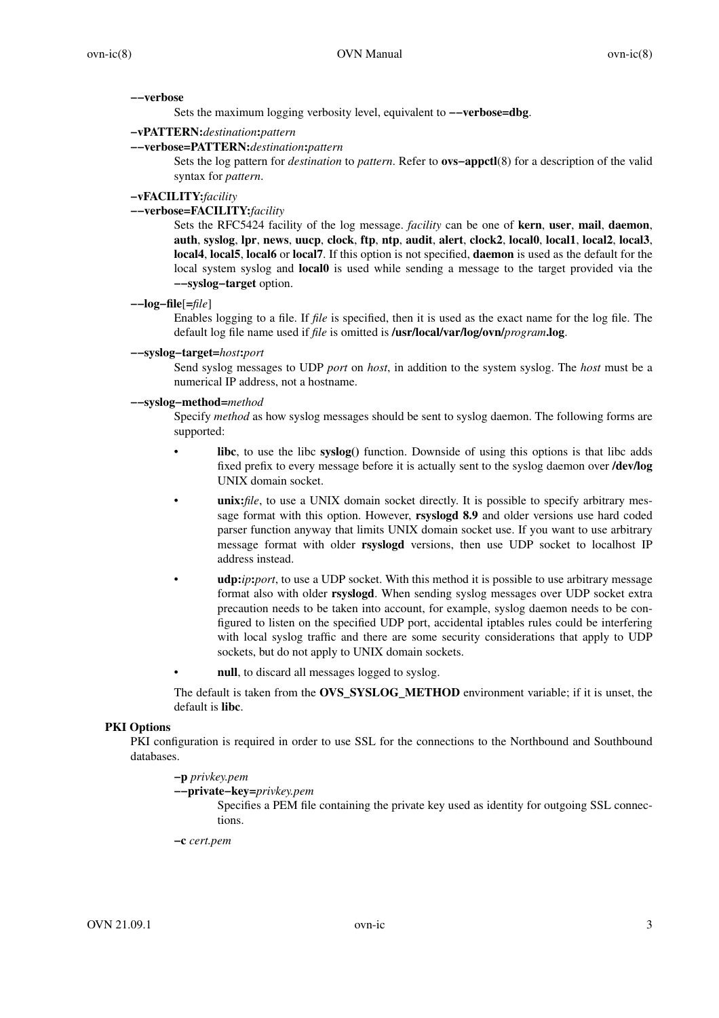#### **−−verbose**

Sets the maximum logging verbosity level, equivalent to **−−verbose=dbg**.

### **−vPATTERN:***destination***:***pattern*

### **−−verbose=PATTERN:***destination***:***pattern*

Sets the log pattern for *destination* to *pattern*. Refer to **ovs−appctl**(8) for a description of the valid syntax for *pattern*.

# **−vFACILITY:***facility*

### **−−verbose=FACILITY:***facility*

Sets the RFC5424 facility of the log message. *facility* can be one of **kern**, **user**, **mail**, **daemon**, **auth**, **syslog**, **lpr**, **news**, **uucp**, **clock**, **ftp**, **ntp**, **audit**, **alert**, **clock2**, **local0**, **local1**, **local2**, **local3**, **local4**, **local5**, **local6** or **local7**. If this option is not specified, **daemon** is used as the default for the local system syslog and **local0** is used while sending a message to the target provided via the **−−syslog−target** option.

#### **−−log−file**[**=***file*]

Enables logging to a file. If *file* is specified, then it is used as the exact name for the log file. The default log file name used if *file* is omitted is **/usr/local/var/log/ovn/***program***.log**.

### **−−syslog−target=***host***:***port*

Send syslog messages to UDP *port* on *host*, in addition to the system syslog. The *host* must be a numerical IP address, not a hostname.

# **−−syslog−method=***method*

Specify *method* as how syslog messages should be sent to syslog daemon. The following forms are supported:

- **libc**, to use the libc **syslog()** function. Downside of using this options is that libc adds fixed prefix to every message before it is actually sent to the syslog daemon over **/dev/log** UNIX domain socket.
- **unix:***file*, to use a UNIX domain socket directly. It is possible to specify arbitrary message format with this option. However, **rsyslogd 8.9** and older versions use hard coded parser function anyway that limits UNIX domain socket use. If you want to use arbitrary message format with older **rsyslogd** versions, then use UDP socket to localhost IP address instead.
- **udp:***ip***:***port*, to use a UDP socket. With this method it is possible to use arbitrary message format also with older **rsyslogd**. When sending syslog messages over UDP socket extra precaution needs to be taken into account, for example, syslog daemon needs to be configured to listen on the specified UDP port, accidental iptables rules could be interfering with local syslog traffic and there are some security considerations that apply to UDP sockets, but do not apply to UNIX domain sockets.
- null, to discard all messages logged to syslog.

The default is taken from the **OVS\_SYSLOG\_METHOD** environment variable; if it is unset, the default is **libc**.

# **PKI Options**

PKI configuration is required in order to use SSL for the connections to the Northbound and Southbound databases.

# **−p** *privkey.pem*

**−−private−key=***privkey.pem*

Specifies a PEM file containing the private key used as identity for outgoing SSL connections.

**−c** *cert.pem*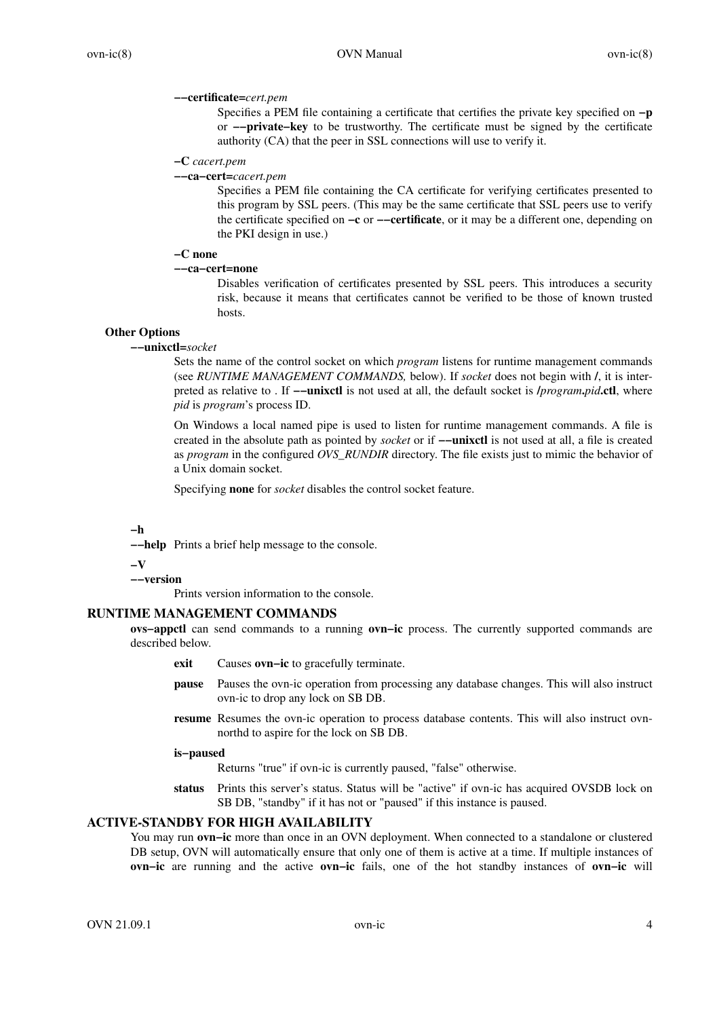### **−−certificate=***cert.pem*

Specifies a PEM file containing a certificate that certifies the private key specified on **−p** or **−−private−key** to be trustworthy. The certificate must be signed by the certificate authority (CA) that the peer in SSL connections will use to verify it.

#### **−C** *cacert.pem*

#### **−−ca−cert=***cacert.pem*

Specifies a PEM file containing the CA certificate for verifying certificates presented to this program by SSL peers. (This may be the same certificate that SSL peers use to verify the certificate specified on **−c** or **−−certificate**, or it may be a different one, depending on the PKI design in use.)

# **−C none**

# **−−ca−cert=none**

Disables verification of certificates presented by SSL peers. This introduces a security risk, because it means that certificates cannot be verified to be those of known trusted hosts.

#### **Other Options**

## **−−unixctl=***socket*

Sets the name of the control socket on which *program* listens for runtime management commands (see *RUNTIME MANAGEMENT COMMANDS,* below). If *socket* does not begin with **/**, it is interpreted as relative to.If **−−unixctl** is not used at all, the default socket is **/***program***.***pid***.ctl**, where *pid* is *program*'s process ID.

On Windows a local named pipe is used to listen for runtime management commands. A file is created in the absolute path as pointed by *socket* or if **−−unixctl** is not used at all, a file is created as *program* in the configured *OVS\_RUNDIR* directory. The file exists just to mimic the behavior of a Unix domain socket.

Specifying **none** for *socket* disables the control socket feature.

#### **−h**

**−−help** Prints a brief help message to the console.

#### **−V**

**−−version**

Prints version information to the console.

# **RUNTIME MANAGEMENT COMMANDS**

**ovs−appctl** can send commands to a running **ovn−ic** process. The currently supported commands are described below.

- **exit** Causes **ovn−ic** to gracefully terminate.
- **pause** Pauses the ovn-ic operation from processing any database changes. This will also instruct ovn-ic to drop any lock on SB DB.
- **resume** Resumes the ovn-ic operation to process database contents. This will also instruct ovnnorthd to aspire for the lock on SB DB.

#### **is−paused**

Returns "true" if ovn-ic is currently paused, "false" otherwise.

**status** Prints this server's status. Status will be "active" if ovn-ic has acquired OVSDB lock on SB DB, "standby" if it has not or "paused" if this instance is paused.

# **ACTIVE-STANDBY FOR HIGH AVAILABILITY**

You may run **ovn−ic** more than once in an OVN deployment. When connected to a standalone or clustered DB setup, OVN will automatically ensure that only one of them is active at a time. If multiple instances of **ovn−ic** are running and the active **ovn−ic** fails, one of the hot standby instances of **ovn−ic** will